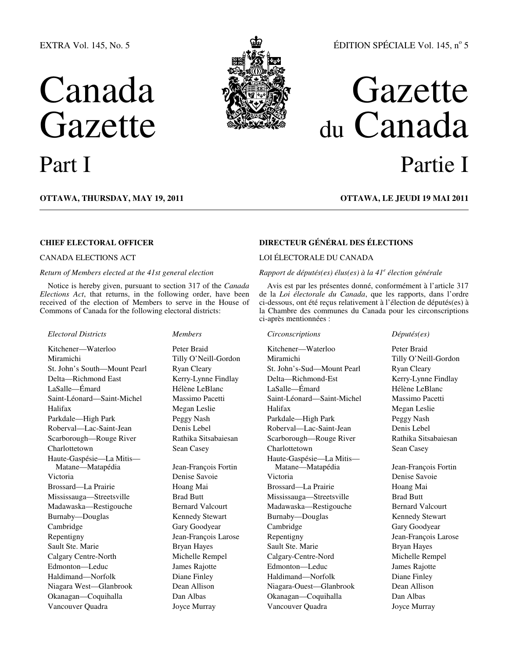## EXTRA Vol. 145, No. 5

# Canada **Gazette**



## ÉDITION SPÉCIALE Vol. 145, nº 5

## Gazette du Canada Part I Partie I

**OTTAWA, THURSDAY, MAY 19, 2011 OTTAWA, LE JEUDI 19 MAI 2011**

## *Return of Members elected at the 41st general election*

Notice is hereby given, pursuant to section 317 of the *Canada Elections Act*, that returns, in the following order, have been received of the election of Members to serve in the House of Commons of Canada for the following electoral districts:

## *Electoral Districts Members Circonscriptions Députés(es)*

Kitchener—Waterloo Peter Braid Kitchener—Waterloo Peter Braid Miramichi Tilly O'Neill-Gordon Miramichi Tilly O'Neill-Gordon St. John's South—Mount Pearl Ryan Cleary St. John's-Sud—Mount Pearl Ryan Cleary Delta—Richmond East Kerry-Lynne Findlay Delta—Richmond-Est Kerry-Lynne Findlay LaSalle—Émard Hélène LeBlanc LaSalle—Émard Hélène LeBlanc Saint-Léonard—Saint-Michel Massimo Pacetti Saint-Léonard—Saint-Michel Massimo Pacetti Halifax Megan Leslie Halifax Megan Leslie Parkdale—High Park Peggy Nash Parkdale—High Park Peggy Nash Roberval—Lac-Saint-Jean Denis Lebel Roberval—Lac-Saint-Jean Denis Lebel Scarborough—Rouge River Rathika Sitsabaiesan Scarborough—Rouge River Rathika Sitsabaiesan Charlottetown Sean Casey Charlottetown Sean Casey Haute-Gaspésie—La Mitis— Matane—Matapédia Jean-François Fortin Victoria Denise Savoie Victoria Denise Savoie Brossard—La Prairie Hoang Mai Brossard—La Prairie Hoang Mai Mississauga—Streetsville Brad Butt Mississauga—Streetsville Brad Butt Madawaska—Restigouche Bernard Valcourt Madawaska—Restigouche Bernard Valcourt Burnaby—Douglas Kennedy Stewart Burnaby—Douglas Kennedy Stewart Cambridge Gary Goodyear Cambridge Gary Goodyear Repentigny Jean-François Larose Repentigny Jean-François Larose Sault Ste. Marie Bryan Hayes Sault Ste. Marie Bryan Hayes Calgary Centre-North Michelle Rempel Calgary-Centre-Nord Michelle Rempel Edmonton—Leduc James Rajotte Edmonton—Leduc James Rajotte Haldimand—Norfolk Diane Finley Haldimand—Norfolk Diane Finley Niagara West—Glanbrook Dean Allison Niagara-Ouest—Glanbrook Dean Allison Okanagan—Coquihalla Dan Albas Okanagan—Coquihalla Dan Albas

## **CHIEF ELECTORAL OFFICER DIRECTEUR GÉNÉRAL DES ÉLECTIONS**

## CANADA ELECTIONS ACT LOI ÉLECTORALE DU CANADA

## *Rapport de députés(es) élus(es) à la 41<sup>e</sup> élection générale*

Avis est par les présentes donné, conformément à l'article 317 de la *Loi électorale du Canada*, que les rapports, dans l'ordre ci-dessous, ont été reçus relativement à l'élection de députés(es) à la Chambre des communes du Canada pour les circonscriptions ci-après mentionnées :

Haute-Gaspésie—La Mitis— Matane—Matapédia Jean-François Fortin Vancouver Quadra Joyce Murray Vancouver Quadra Joyce Murray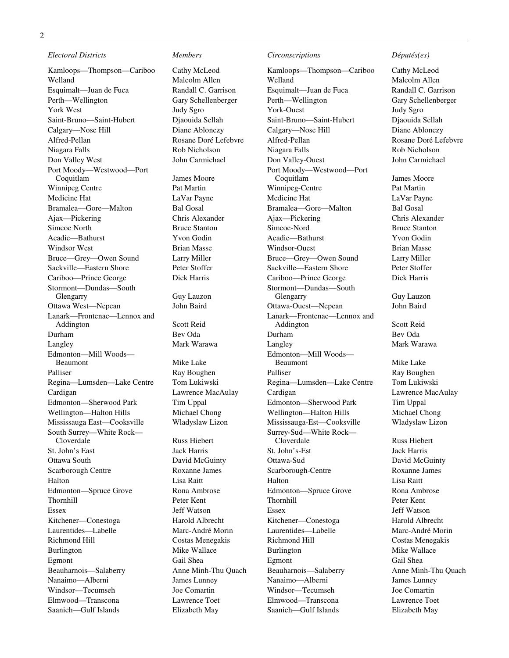*Electoral Districts Members Circonscriptions Députés(es)* 

Kamloops—Thompson—Cariboo Cathy McLeod Kamloops—Thompson—Cariboo Cathy McLeod Welland Malcolm Allen Welland Malcolm Allen Esquimalt—Juan de Fuca Randall C. Garrison Esquimalt—Juan de Fuca Randall C. Garrison Perth—Wellington Gary Schellenberger Perth—Wellington Gary Schellenberger York West Judy Sgro York-Ouest Judy Sgro Saint-Bruno—Saint-Hubert Djaouida Sellah Saint-Bruno—Saint-Hubert Djaouida Sellah Calgary—Nose Hill Diane Ablonczy Calgary—Nose Hill Diane Ablonczy Alfred-Pellan Rosane Doré Lefebvre Alfred-Pellan Rosane Doré Lefebvre Niagara Falls Rob Nicholson Niagara Falls Rob Nicholson Don Valley West John Carmichael Don Valley-Ouest John Carmichael Port Moody—Westwood—Port Winnipeg Centre Pat Martin Winnipeg-Centre Pat Martin Medicine Hat **LaVar Payne** Medicine Hat LaVar Payne **Medicine Hat** LaVar Payne Bramalea—Gore—Malton Bal Gosal Bramalea—Gore—Malton Bal Gosal Ajax—Pickering Chris Alexander Ajax—Pickering Chris Alexander Simcoe North Bruce Stanton Simcoe-Nord Bruce Stanton Acadie—Bathurst Yvon Godin Acadie—Bathurst Yvon Godin Windsor West **Brian Masse** Brian Masse **Brian Masse** Windsor-Ouest Brian Masse Bruce—Grey—Owen Sound Larry Miller Bruce—Grey—Owen Sound Larry Miller Sackville—Eastern Shore Peter Stoffer Sackville—Eastern Shore Peter Stoffer Cariboo—Prince George Dick Harris Cariboo—Prince George Dick Harris Stormont—Dundas—South Ottawa West—Nepean John Baird Ottawa-Ouest—Nepean John Baird Lanark—Frontenac—Lennox and Addington Scott Reid Durham Bev Oda Durham Bev Oda Langley Mark Warawa Langley Mark Warawa Edmonton—Mill Woods— Palliser **Ray Boughen** Palliser Ray Boughen Palliser Ray Boughen Regina—Lumsden—Lake Centre Tom Lukiwski Regina—Lumsden—Lake Centre Tom Lukiwski Cardigan Lawrence MacAulay Cardigan Lawrence MacAulay Edmonton—Sherwood Park Tim Uppal Edmonton—Sherwood Park Tim Uppal Wellington—Halton Hills Michael Chong Wellington—Halton Hills Michael Chong Mississauga East—Cooksville Wladyslaw Lizon Mississauga-Est—Cooksville Wladyslaw Lizon South Surrey—White Rock— St. John's East Jack Harris St. John's-Est Jack Harris Ottawa South David McGuinty Ottawa-Sud David McGuinty Scarborough Centre Roxanne James Scarborough-Centre Roxanne James Halton Lisa Raitt Halton Lisa Raitt Edmonton—Spruce Grove Rona Ambrose Edmonton—Spruce Grove Rona Ambrose Thornhill Peter Kent Thornhill Peter Kent Essex Jeff Watson Essex Jeff Watson Kitchener—Conestoga Harold Albrecht Kitchener—Conestoga Harold Albrecht Laurentides—Labelle Marc-André Morin Laurentides—Labelle Marc-André Morin Richmond Hill Costas Menegakis Richmond Hill Costas Menegakis Burlington Mike Wallace Burlington Mike Wallace Burlington Mike Wallace Egmont Gail Shea Egmont Gail Shea Beauharnois—Salaberry Anne Minh-Thu Quach Beauharnois—Salaberry Anne Minh-Thu Quach Nanaimo—Alberni James Lunney Nanaimo—Alberni James Lunney Windsor—Tecumseh Joe Comartin Windsor—Tecumseh Joe Comartin Elmwood—Transcona Lawrence Toet Elmwood—Transcona Lawrence Toet Saanich—Gulf Islands Elizabeth May Saanich—Gulf Islands Elizabeth May

James Moore

Guy Lauzon

Mike Lake

Russ Hiebert

Port Moody—Westwood—Port Coquitlam James Moore Stormont—Dundas—South Lanark—Frontenac—Lennox and Addington Scott Reid Edmonton—Mill Woods— Surrey-Sud—White Rock—

Guy Lauzon

Mike Lake

Russ Hiebert